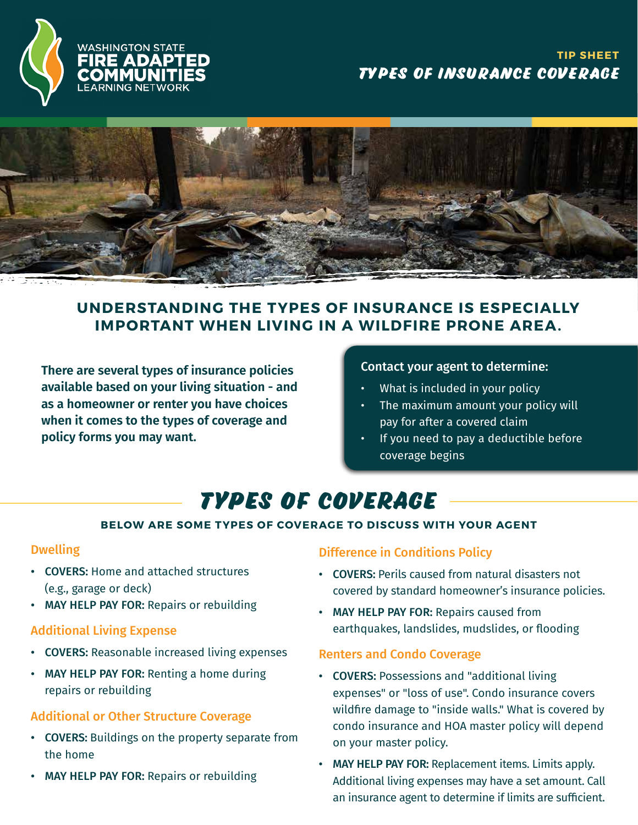



### **UNDERSTANDING THE TYPES OF INSURANCE IS ESPECIALLY IMPORTANT WHEN LIVING IN A WILDFIRE PRONE AREA.**

**There are several types of insurance policies available based on your living situation - and as a homeowner or renter you have choices when it comes to the types of coverage and policy forms you may want.**

#### Contact your agent to determine:

- What is included in your policy
- The maximum amount your policy will pay for after a covered claim
- If you need to pay a deductible before coverage begins

## **Types of Coverage**

### **BELOW ARE SOME TYPES OF COVERAGE TO DISCUSS WITH YOUR AGENT**

### Dwelling

- COVERS: Home and attached structures (e.g., garage or deck)
- MAY HELP PAY FOR: Repairs or rebuilding

### Additional Living Expense

- COVERS: Reasonable increased living expenses
- MAY HELP PAY FOR: Renting a home during repairs or rebuilding

### Additional or Other Structure Coverage

- COVERS: Buildings on the property separate from the home
- **MAY HELP PAY FOR: Repairs or rebuilding**

### Difference in Conditions Policy

- COVERS: Perils caused from natural disasters not covered by standard homeowner's insurance policies.
- MAY HELP PAY FOR: Repairs caused from earthquakes, landslides, mudslides, or flooding

### Renters and Condo Coverage

- COVERS: Possessions and "additional living expenses" or "loss of use". Condo insurance covers wildfire damage to "inside walls." What is covered by condo insurance and HOA master policy will depend on your master policy.
- MAY HELP PAY FOR: Replacement items. Limits apply. Additional living expenses may have a set amount. Call an insurance agent to determine if limits are sufficient.